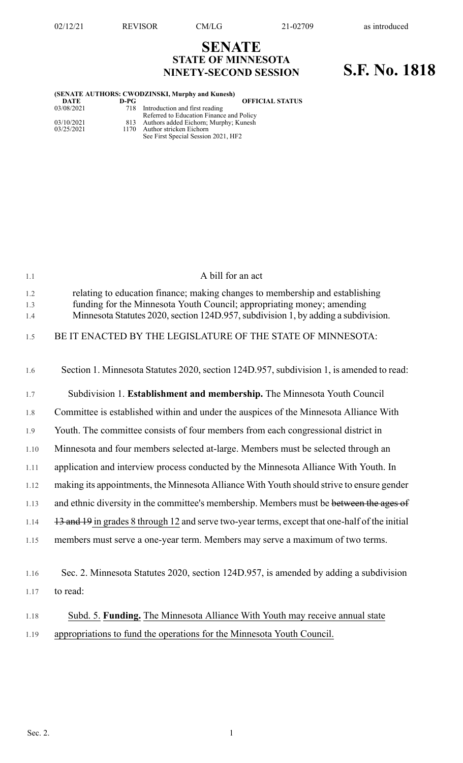## **SENATE STATE OF MINNESOTA NINETY-SECOND SESSION S.F. No. 1818**

|            |      | (SENATE AUTHORS: CWODZINSKI, Murphy and Kunesh) |
|------------|------|-------------------------------------------------|
| DATE       | D-PG | <b>OFFICIAL STATUS</b>                          |
| 03/08/2021 |      | 718 Introduction and first reading              |
|            |      | Referred to Education Finance and Policy        |
| 03/10/2021 |      | 813 Authors added Eichorn; Murphy; Kunesh       |
| 03/25/2021 | 1170 | Author stricken Eichorn                         |
|            |      | See First Special Session 2021, HF2             |

| 1.1               | A bill for an act                                                                                                                                                                                                                            |
|-------------------|----------------------------------------------------------------------------------------------------------------------------------------------------------------------------------------------------------------------------------------------|
| 1.2<br>1.3<br>1.4 | relating to education finance; making changes to membership and establishing<br>funding for the Minnesota Youth Council; appropriating money; amending<br>Minnesota Statutes 2020, section 124D.957, subdivision 1, by adding a subdivision. |
| 1.5               | BE IT ENACTED BY THE LEGISLATURE OF THE STATE OF MINNESOTA:                                                                                                                                                                                  |
| 1.6               | Section 1. Minnesota Statutes 2020, section 124D.957, subdivision 1, is amended to read:                                                                                                                                                     |
| 1.7               | Subdivision 1. Establishment and membership. The Minnesota Youth Council                                                                                                                                                                     |
| 1.8               | Committee is established within and under the auspices of the Minnesota Alliance With                                                                                                                                                        |
| 1.9               | Youth. The committee consists of four members from each congressional district in                                                                                                                                                            |
| 1.10              | Minnesota and four members selected at-large. Members must be selected through an                                                                                                                                                            |
| 1.11              | application and interview process conducted by the Minnesota Alliance With Youth. In                                                                                                                                                         |
| 1.12              | making its appointments, the Minnesota Alliance With Youth should strive to ensure gender                                                                                                                                                    |
| 1.13              | and ethnic diversity in the committee's membership. Members must be between the ages of                                                                                                                                                      |
| 1.14              | 13 and 19 in grades 8 through 12 and serve two-year terms, except that one-half of the initial                                                                                                                                               |
| 1.15              | members must serve a one-year term. Members may serve a maximum of two terms.                                                                                                                                                                |
|                   |                                                                                                                                                                                                                                              |
| 1.16              | Sec. 2. Minnesota Statutes 2020, section 124D.957, is amended by adding a subdivision                                                                                                                                                        |
| 1.17              | to read:                                                                                                                                                                                                                                     |
| 1.18              | Subd. 5. Funding. The Minnesota Alliance With Youth may receive annual state                                                                                                                                                                 |
| 1.19              | appropriations to fund the operations for the Minnesota Youth Council.                                                                                                                                                                       |